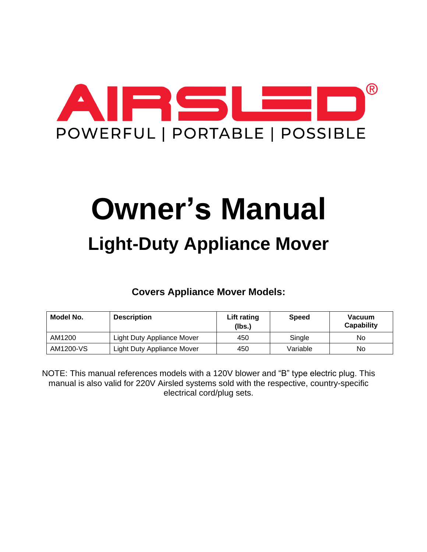

# **Owner's Manual Light-Duty Appliance Mover**

**Covers Appliance Mover Models:**

| Model No. | <b>Description</b>                       | Lift rating<br>(Ibs.) | <b>Speed</b> | <b>Vacuum</b><br><b>Capability</b> |
|-----------|------------------------------------------|-----------------------|--------------|------------------------------------|
| AM1200    | Light Duty Appliance Mover               | 450                   | Single       | No                                 |
| AM1200-VS | <b>Light Duty Appliance Mover</b><br>450 |                       | Variable     | No                                 |

NOTE: This manual references models with a 120V blower and "B" type electric plug. This manual is also valid for 220V Airsled systems sold with the respective, country-specific electrical cord/plug sets.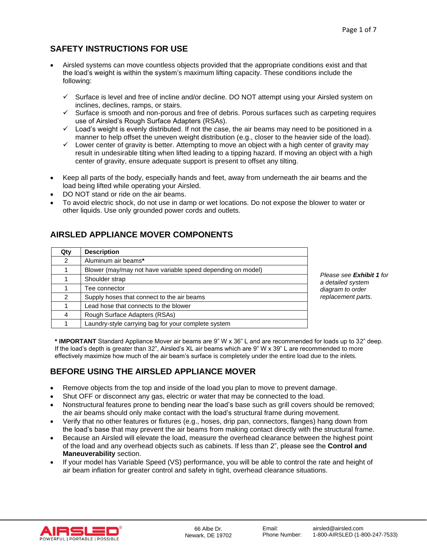# **SAFETY INSTRUCTIONS FOR USE**

- Airsled systems can move countless objects provided that the appropriate conditions exist and that the load's weight is within the system's maximum lifting capacity. These conditions include the following:
	- ✓ Surface is level and free of incline and/or decline. DO NOT attempt using your Airsled system on inclines, declines, ramps, or stairs.
	- $\checkmark$  Surface is smooth and non-porous and free of debris. Porous surfaces such as carpeting requires use of Airsled's Rough Surface Adapters (RSAs).
	- ✓ Load's weight is evenly distributed. If not the case, the air beams may need to be positioned in a manner to help offset the uneven weight distribution (e.g., closer to the heavier side of the load).
	- $\checkmark$  Lower center of gravity is better. Attempting to move an object with a high center of gravity may result in undesirable tilting when lifted leading to a tipping hazard. If moving an object with a high center of gravity, ensure adequate support is present to offset any tilting.
- Keep all parts of the body, especially hands and feet, away from underneath the air beams and the load being lifted while operating your Airsled.
- DO NOT stand or ride on the air beams.
- To avoid electric shock, do not use in damp or wet locations. Do not expose the blower to water or other liquids. Use only grounded power cords and outlets.

## **AIRSLED APPLIANCE MOVER COMPONENTS**

| Qty           | <b>Description</b>                                          |  |  |
|---------------|-------------------------------------------------------------|--|--|
| $\mathcal{P}$ | Aluminum air beams*                                         |  |  |
|               | Blower (may/may not have variable speed depending on model) |  |  |
|               | Shoulder strap                                              |  |  |
|               | Tee connector                                               |  |  |
| 2             | Supply hoses that connect to the air beams                  |  |  |
|               | Lead hose that connects to the blower                       |  |  |
| 4             | Rough Surface Adapters (RSAs)                               |  |  |
|               | Laundry-style carrying bag for your complete system         |  |  |

*Please see Exhibit 1 for a detailed system diagram to order replacement parts.*

**\* IMPORTANT** Standard Appliance Mover air beams are 9" W x 36" L and are recommended for loads up to 32" deep. If the load's depth is greater than 32", Airsled's XL air beams which are 9" W x 39" L are recommended to more effectively maximize how much of the air beam's surface is completely under the entire load due to the inlets.

# **BEFORE USING THE AIRSLED APPLIANCE MOVER**

- Remove objects from the top and inside of the load you plan to move to prevent damage.
- Shut OFF or disconnect any gas, electric or water that may be connected to the load.
- Nonstructural features prone to bending near the load's base such as grill covers should be removed; the air beams should only make contact with the load's structural frame during movement.
- Verify that no other features or fixtures (e.g., hoses, drip pan, connectors, flanges) hang down from the load's base that may prevent the air beams from making contact directly with the structural frame.
- Because an Airsled will elevate the load, measure the overhead clearance between the highest point of the load and any overhead objects such as cabinets. If less than 2", please see the **Control and Maneuverability** section.
- If your model has Variable Speed (VS) performance, you will be able to control the rate and height of air beam inflation for greater control and safety in tight, overhead clearance situations.

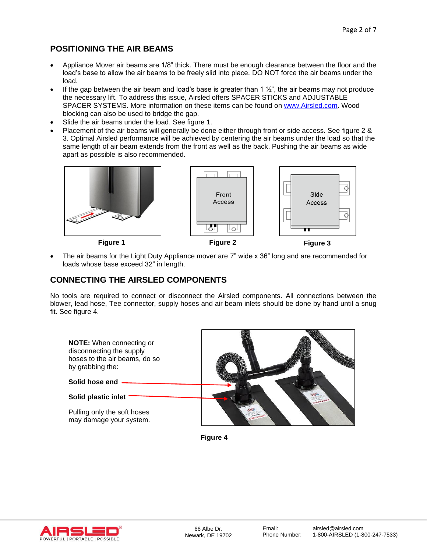## **POSITIONING THE AIR BEAMS**

- Appliance Mover air beams are 1/8" thick. There must be enough clearance between the floor and the load's base to allow the air beams to be freely slid into place. DO NOT force the air beams under the load.
- If the gap between the air beam and load's base is greater than 1  $\frac{1}{2}$ ", the air beams may not produce the necessary lift. To address this issue, Airsled offers SPACER STICKS and ADJUSTABLE SPACER SYSTEMS. More information on these items can be found on [www.Airsled.com.](http://www.airsled.com/) Wood blocking can also be used to bridge the gap.
- Slide the air beams under the load. See figure 1.
- Placement of the air beams will generally be done either through front or side access. See figure 2 & 3. Optimal Airsled performance will be achieved by centering the air beams under the load so that the same length of air beam extends from the front as well as the back. Pushing the air beams as wide apart as possible is also recommended.







Side

Access

₫

ढ़

• The air beams for the Light Duty Appliance mover are 7" wide x 36" long and are recommended for loads whose base exceed 32" in length.

## **CONNECTING THE AIRSLED COMPONENTS**

No tools are required to connect or disconnect the Airsled components. All connections between the blower, lead hose, Tee connector, supply hoses and air beam inlets should be done by hand until a snug fit. See figure 4.



**Figure 4**

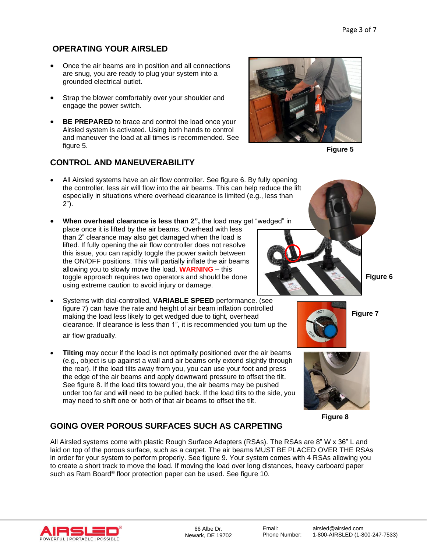## **OPERATING YOUR AIRSLED**

- Once the air beams are in position and all connections are snug, you are ready to plug your system into a grounded electrical outlet.
- Strap the blower comfortably over your shoulder and engage the power switch.
- **BE PREPARED** to brace and control the load once your Airsled system is activated. Using both hands to control and maneuver the load at all times is recommended. See figure 5.

## **CONTROL AND MANEUVERABILITY**

- All Airsled systems have an air flow controller. See figure 6. By fully opening the controller, less air will flow into the air beams. This can help reduce the lift especially in situations where overhead clearance is limited (e.g., less than 2").
- **When overhead clearance is less than 2",** the load may get "wedged" in place once it is lifted by the air beams. Overhead with less than 2" clearance may also get damaged when the load is lifted. If fully opening the air flow controller does not resolve this issue, you can rapidly toggle the power switch between the ON/OFF positions. This will partially inflate the air beams allowing you to slowly move the load. **WARNING** – this toggle approach requires two operators and should be done using extreme caution to avoid injury or damage.
- Systems with dial-controlled, **VARIABLE SPEED** performance. (see figure 7) can have the rate and height of air beam inflation controlled making the load less likely to get wedged due to tight, overhead clearance. If clearance is less than 1", it is recommended you turn up the air flow gradually.
- **Tilting** may occur if the load is not optimally positioned over the air beams (e.g., object is up against a wall and air beams only extend slightly through the rear). If the load tilts away from you, you can use your foot and press the edge of the air beams and apply downward pressure to offset the tilt. See figure 8. If the load tilts toward you, the air beams may be pushed under too far and will need to be pulled back. If the load tilts to the side, you may need to shift one or both of that air beams to offset the tilt.

# **GOING OVER POROUS SURFACES SUCH AS CARPETING**

All Airsled systems come with plastic Rough Surface Adapters (RSAs). The RSAs are 8" W x 36" L and laid on top of the porous surface, such as a carpet. The air beams MUST BE PLACED OVER THE RSAs in order for your system to perform properly. See figure 9. Your system comes with 4 RSAs allowing you to create a short track to move the load. If moving the load over long distances, heavy carboard paper such as Ram Board® floor protection paper can be used. See figure 10.







**Figure 7**

**Figure 8**

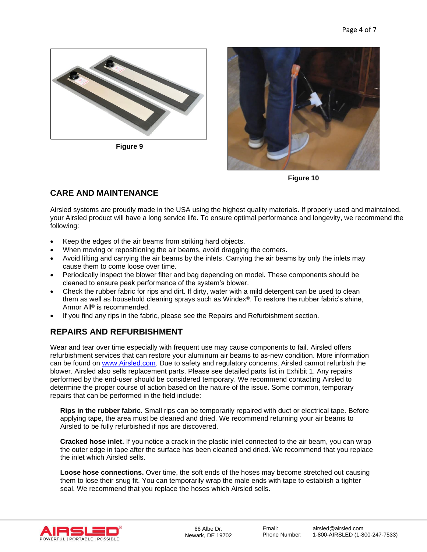

**Figure 9**



**Figure 10**

# **CARE AND MAINTENANCE**

Airsled systems are proudly made in the USA using the highest quality materials. If properly used and maintained, your Airsled product will have a long service life. To ensure optimal performance and longevity, we recommend the following:

- Keep the edges of the air beams from striking hard objects.
- When moving or repositioning the air beams, avoid dragging the corners.
- Avoid lifting and carrying the air beams by the inlets. Carrying the air beams by only the inlets may cause them to come loose over time.
- Periodically inspect the blower filter and bag depending on model. These components should be cleaned to ensure peak performance of the system's blower.
- Check the rubber fabric for rips and dirt. If dirty, water with a mild detergent can be used to clean them as well as household cleaning sprays such as Windex®. To restore the rubber fabric's shine, Armor All® is recommended.
- If you find any rips in the fabric, please see the Repairs and Refurbishment section.

# **REPAIRS AND REFURBISHMENT**

Wear and tear over time especially with frequent use may cause components to fail. Airsled offers refurbishment services that can restore your aluminum air beams to as-new condition. More information can be found on [www.Airsled.com.](http://www.airsled.com/) Due to safety and regulatory concerns, Airsled cannot refurbish the blower. Airsled also sells replacement parts. Please see detailed parts list in Exhibit 1. Any repairs performed by the end-user should be considered temporary. We recommend contacting Airsled to determine the proper course of action based on the nature of the issue. Some common, temporary repairs that can be performed in the field include:

**Rips in the rubber fabric.** Small rips can be temporarily repaired with duct or electrical tape. Before applying tape, the area must be cleaned and dried. We recommend returning your air beams to Airsled to be fully refurbished if rips are discovered.

**Cracked hose inlet.** If you notice a crack in the plastic inlet connected to the air beam, you can wrap the outer edge in tape after the surface has been cleaned and dried. We recommend that you replace the inlet which Airsled sells.

**Loose hose connections.** Over time, the soft ends of the hoses may become stretched out causing them to lose their snug fit. You can temporarily wrap the male ends with tape to establish a tighter seal. We recommend that you replace the hoses which Airsled sells.

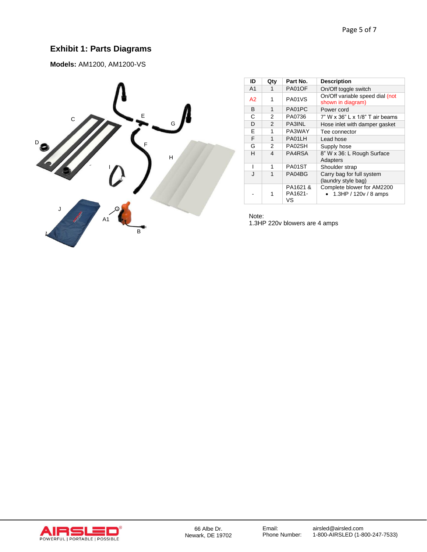## **Exhibit 1: Parts Diagrams**

**Models:** AM1200, AM1200-VS



| ID             | Qty           | Part No.                  | <b>Description</b>                                   |
|----------------|---------------|---------------------------|------------------------------------------------------|
| A <sub>1</sub> | 1             | PA01OF                    | On/Off toggle switch                                 |
| A2             | 1             | PA01VS                    | On/Off variable speed dial (not<br>shown in diagram) |
| B              | 1             | PA01PC                    | Power cord                                           |
| С              | 2             | PA0736                    | 7" W x 36" L x 1/8" T air beams                      |
| D              | $\mathcal{P}$ | PA3INL                    | Hose inlet with damper gasket                        |
| E              | 1             | PA3WAY                    | Tee connector                                        |
| F              | 1             | PA01LH                    | Lead hose                                            |
| G              | 2             | PA02SH                    | Supply hose                                          |
| н              | 4             | PA4RSA                    | 8" W x 36: L Rough Surface<br>Adapters               |
| ı              | 1             | PA01ST                    | Shoulder strap                                       |
| J              | 1             | PA04BG                    | Carry bag for full system<br>(laundry style bag)     |
|                |               | PA1621 &<br>PA1621-<br>vs | Complete blower for AM2200<br>1.3HP / $120v/8$ amps  |

Note: 1.3HP 220v blowers are 4 amps

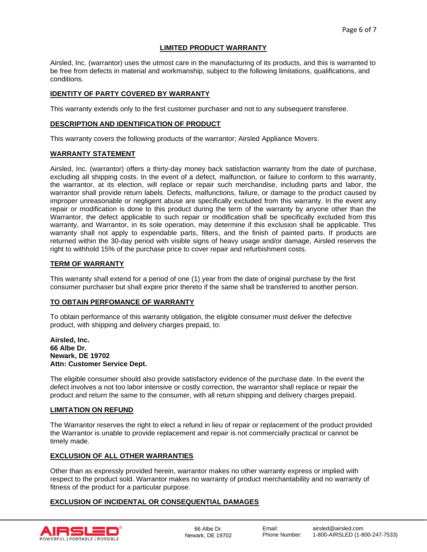## **LIMITED PRODUCT WARRANTY**

Airsled, Inc. (warrantor) uses the utmost care in the manufacturing of its products, and this is warranted to be free from defects in material and workmanship, subject to the following limitations, qualifications, and conditions.

## **IDENTITY OF PARTY COVERED BY WARRANTY**

This warranty extends only to the first customer purchaser and not to any subsequent transferee.

#### **DESCRIPTION AND IDENTIFICATION OF PRODUCT**

This warranty covers the following products of the warrantor; Airsled Appliance Movers.

#### **WARRANTY STATEMENT**

Airsled, Inc. (warrantor) offers a thirty-day money back satisfaction warranty from the date of purchase, excluding all shipping costs. In the event of a defect, malfunction, or failure to conform to this warranty, the warrantor, at its election, will replace or repair such merchandise, including parts and labor, the warrantor shall provide return labels. Defects, malfunctions, failure, or damage to the product caused by improper unreasonable or negligent abuse are specifically excluded from this warranty. In the event any repair or modification is done to this product during the term of the warranty by anyone other than the Warrantor, the defect applicable to such repair or modification shall be specifically excluded from this warranty, and Warrantor, in its sole operation, may determine if this exclusion shall be applicable. This warranty shall not apply to expendable parts, filters, and the finish of painted parts. If products are returned within the 30-day period with visible signs of heavy usage and/or damage, Airsled reserves the right to withhold 15% of the purchase price to cover repair and refurbishment costs.

#### **TERM OF WARRANTY**

This warranty shall extend for a period of one (1) year from the date of original purchase by the first consumer purchaser but shall expire prior thereto if the same shall be transferred to another person.

#### **TO OBTAIN PERFOMANCE OF WARRANTY**

To obtain performance of this warranty obligation, the eligible consumer must deliver the defective product, with shipping and delivery charges prepaid, to:

#### **Airsled, Inc. 66 Albe Dr. Newark, DE 19702 Attn: Customer Service Dept.**

The eligible consumer should also provide satisfactory evidence of the purchase date. In the event the defect involves a not too labor intensive or costly correction, the warrantor shall replace or repair the product and return the same to the consumer, with all return shipping and delivery charges prepaid.

#### **LIMITATION ON REFUND**

The Warrantor reserves the right to elect a refund in lieu of repair or replacement of the product provided the Warrantor is unable to provide replacement and repair is not commercially practical or cannot be timely made.

## **EXCLUSION OF ALL OTHER WARRANTIES**

Other than as expressly provided herein, warrantor makes no other warranty express or implied with respect to the product sold. Warrantor makes no warranty of product merchantability and no warranty of fitness of the product for a particular purpose.

## **EXCLUSION OF INCIDENTAL OR CONSEQUENTIAL DAMAGES**